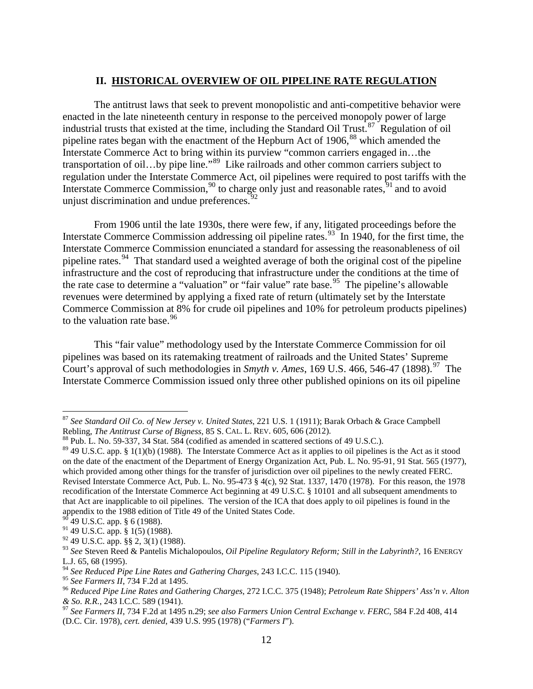## **II. HISTORICAL OVERVIEW OF OIL PIPELINE RATE REGULATION**

The antitrust laws that seek to prevent monopolistic and anti-competitive behavior were enacted in the late nineteenth century in response to the perceived monopoly power of large industrial trusts that existed at the time, including the Standard Oil Trust.<sup>87</sup> Regulation of oil pipeline rates began with the enactment of the Hepburn Act of  $1906$ ,  $88$  which amended the Interstate Commerce Act to bring within its purview "common carriers engaged in…the transportation of oil…by pipe line."[89](#page-0-2) Like railroads and other common carriers subject to regulation under the Interstate Commerce Act, oil pipelines were required to post tariffs with the Interstate Commerce Commission,<sup>[90](#page-0-3)</sup> to charge only just and reasonable rates,  $91$  and to avoid unjust discrimination and undue preferences.<sup>[92](#page-0-5)</sup>

From 1906 until the late 1930s, there were few, if any, litigated proceedings before the Interstate Commerce Commission addressing oil pipeline rates.<sup>[93](#page-0-6)</sup> In 1940, for the first time, the Interstate Commerce Commission enunciated a standard for assessing the reasonableness of oil pipeline rates.<sup>94</sup> That standard used a weighted average of both the original cost of the pipeline infrastructure and the cost of reproducing that infrastructure under the conditions at the time of the rate case to determine a "valuation" or "fair value" rate base.<sup>95</sup> The pipeline's allowable revenues were determined by applying a fixed rate of return (ultimately set by the Interstate Commerce Commission at 8% for crude oil pipelines and 10% for petroleum products pipelines) to the valuation rate base.<sup>96</sup>

This "fair value" methodology used by the Interstate Commerce Commission for oil pipelines was based on its ratemaking treatment of railroads and the United States' Supreme Court's approval of such methodologies in *Smyth v. Ames*, 169 U.S. 466, 546-47 (1898).<sup>97</sup> The Interstate Commerce Commission issued only three other published opinions on its oil pipeline

<span id="page-0-0"></span> <sup>87</sup> *See Standard Oil Co. of New Jersey v. United States*, 221 U.S. 1 (1911); Barak Orbach & Grace Campbell

<span id="page-0-1"></span><sup>&</sup>lt;sup>88</sup> Pub. L. No. 59-337, 34 Stat. 584 (codified as amended in scattered sections of 49 U.S.C.).

<span id="page-0-2"></span> $89$  49 U.S.C. app. § 1(1)(b) (1988). The Interstate Commerce Act as it applies to oil pipelines is the Act as it stood on the date of the enactment of the Department of Energy Organization Act, Pub. L. No. 95-91, 91 Stat. 565 (1977), which provided among other things for the transfer of jurisdiction over oil pipelines to the newly created FERC. Revised Interstate Commerce Act, Pub. L. No. 95-473 § 4(c), 92 Stat. 1337, 1470 (1978). For this reason, the 1978 recodification of the Interstate Commerce Act beginning at 49 U.S.C. § 10101 and all subsequent amendments to that Act are inapplicable to oil pipelines. The version of the ICA that does apply to oil pipelines is found in the appendix to the 1988 edition of Title 49 of the United States Code.

<sup>49</sup> U.S.C. app. § 6 (1988).

<span id="page-0-4"></span><span id="page-0-3"></span><sup>91</sup> 49 U.S.C. app. § 1(5) (1988).

<span id="page-0-5"></span><sup>92</sup> 49 U.S.C. app. §§ 2, 3(1) (1988).

<span id="page-0-6"></span><sup>93</sup> *See* Steven Reed & Pantelis Michalopoulos, *Oil Pipeline Regulatory Reform; Still in the Labyrinth?*, 16 ENERGY L.J. 65, 68 (1995).

<span id="page-0-7"></span><sup>94</sup> *See Reduced Pipe Line Rates and Gathering Charges*, 243 I.C.C. 115 (1940).

<span id="page-0-9"></span><span id="page-0-8"></span><sup>&</sup>lt;sup>96</sup> Reduced Pipe Line Rates and Gathering Charges, 272 I.C.C. 375 (1948); *Petroleum Rate Shippers' Ass'n v. Alton & So. R.R.*, 243 I.C.C. 589 (1941). <sup>97</sup> *See Farmers II*, 734 F.2d at 1495 n.29; *see also Farmers Union Central Exchange v. FERC*, 584 F.2d 408, 414

<span id="page-0-10"></span><sup>(</sup>D.C. Cir. 1978), *cert. denied*, 439 U.S. 995 (1978) ("*Farmers I*").